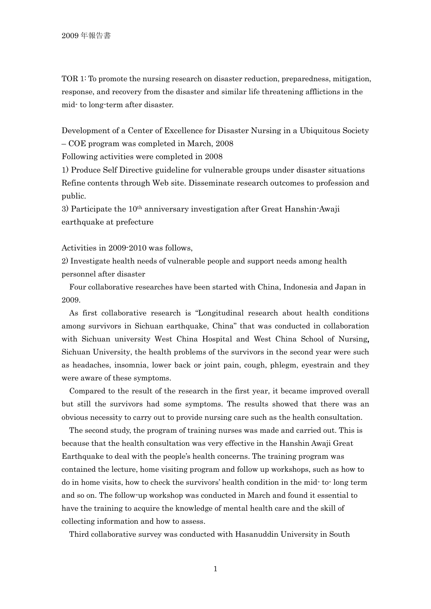TOR 1: To promote the nursing research on disaster reduction, preparedness, mitigation, response, and recovery from the disaster and similar life threatening afflictions in the mid- to long-term after disaster.

Development of a Center of Excellence for Disaster Nursing in a Ubiquitous Society – COE program was completed in March, 2008

Following activities were completed in 2008

1) Produce Self Directive guideline for vulnerable groups under disaster situations Refine contents through Web site. Disseminate research outcomes to profession and public.

 $3)$  Participate the  $10<sup>th</sup>$  anniversary investigation after Great Hanshin-Awaji earthquake at prefecture

# Activities in 2009-2010 was follows,

2) Investigate health needs of vulnerable people and support needs among health personnel after disaster

Four collaborative researches have been started with China, Indonesia and Japan in 2009.

As first collaborative research is "Longitudinal research about health conditions among survivors in Sichuan earthquake, China" that was conducted in collaboration with Sichuan university West China Hospital and West China School of Nursing, Sichuan University, the health problems of the survivors in the second year were such as headaches, insomnia, lower back or joint pain, cough, phlegm, eyestrain and they were aware of these symptoms.

Compared to the result of the research in the first year, it became improved overall but still the survivors had some symptoms. The results showed that there was an obvious necessity to carry out to provide nursing care such as the health consultation.

The second study, the program of training nurses was made and carried out. This is because that the health consultation was very effective in the Hanshin Awaji Great Earthquake to deal with the people's health concerns. The training program was contained the lecture, home visiting program and follow up workshops, such as how to do in home visits, how to check the survivors' health condition in the mid- to- long term and so on. The follow-up workshop was conducted in March and found it essential to have the training to acquire the knowledge of mental health care and the skill of collecting information and how to assess.

Third collaborative survey was conducted with Hasanuddin University in South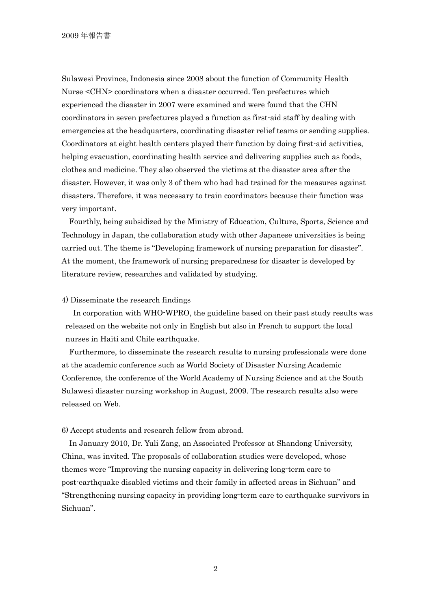Sulawesi Province, Indonesia since 2008 about the function of Community Health Nurse <CHN> coordinators when a disaster occurred. Ten prefectures which experienced the disaster in 2007 were examined and were found that the CHN coordinators in seven prefectures played a function as first-aid staff by dealing with emergencies at the headquarters, coordinating disaster relief teams or sending supplies. Coordinators at eight health centers played their function by doing first-aid activities, helping evacuation, coordinating health service and delivering supplies such as foods, clothes and medicine. They also observed the victims at the disaster area after the disaster. However, it was only 3 of them who had had trained for the measures against disasters. Therefore, it was necessary to train coordinators because their function was very important.

 Fourthly, being subsidized by the Ministry of Education, Culture, Sports, Science and Technology in Japan, the collaboration study with other Japanese universities is being carried out. The theme is "Developing framework of nursing preparation for disaster". At the moment, the framework of nursing preparedness for disaster is developed by literature review, researches and validated by studying.

### 4) Disseminate the research findings

In corporation with WHO-WPRO, the guideline based on their past study results was released on the website not only in English but also in French to support the local nurses in Haiti and Chile earthquake.

Furthermore, to disseminate the research results to nursing professionals were done at the academic conference such as World Society of Disaster Nursing Academic Conference, the conference of the World Academy of Nursing Science and at the South Sulawesi disaster nursing workshop in August, 2009. The research results also were released on Web.

6) Accept students and research fellow from abroad.

In January 2010, Dr. Yuli Zang, an Associated Professor at Shandong University, China, was invited. The proposals of collaboration studies were developed, whose themes were "Improving the nursing capacity in delivering long-term care to post-earthquake disabled victims and their family in affected areas in Sichuan" and "Strengthening nursing capacity in providing long-term care to earthquake survivors in Sichuan".

2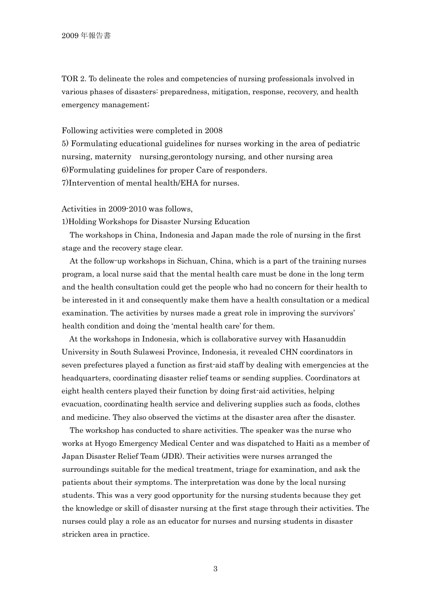TOR 2. To delineate the roles and competencies of nursing professionals involved in various phases of disasters: preparedness, mitigation, response, recovery, and health emergency management;

### Following activities were completed in 2008

5) Formulating educational guidelines for nurses working in the area of pediatric nursing, maternity nursing,gerontology nursing, and other nursing area 6)Formulating guidelines for proper Care of responders. 7)Intervention of mental health/EHA for nurses.

Activities in 2009-2010 was follows,

1)Holding Workshops for Disaster Nursing Education

The workshops in China, Indonesia and Japan made the role of nursing in the first stage and the recovery stage clear.

At the follow-up workshops in Sichuan, China, which is a part of the training nurses program, a local nurse said that the mental health care must be done in the long term and the health consultation could get the people who had no concern for their health to be interested in it and consequently make them have a health consultation or a medical examination. The activities by nurses made a great role in improving the survivors' health condition and doing the 'mental health care' for them.

At the workshops in Indonesia, which is collaborative survey with Hasanuddin University in South Sulawesi Province, Indonesia, it revealed CHN coordinators in seven prefectures played a function as first-aid staff by dealing with emergencies at the headquarters, coordinating disaster relief teams or sending supplies. Coordinators at eight health centers played their function by doing first-aid activities, helping evacuation, coordinating health service and delivering supplies such as foods, clothes and medicine. They also observed the victims at the disaster area after the disaster.

The workshop has conducted to share activities. The speaker was the nurse who works at Hyogo Emergency Medical Center and was dispatched to Haiti as a member of Japan Disaster Relief Team (JDR). Their activities were nurses arranged the surroundings suitable for the medical treatment, triage for examination, and ask the patients about their symptoms. The interpretation was done by the local nursing students. This was a very good opportunity for the nursing students because they get the knowledge or skill of disaster nursing at the first stage through their activities. The nurses could play a role as an educator for nurses and nursing students in disaster stricken area in practice.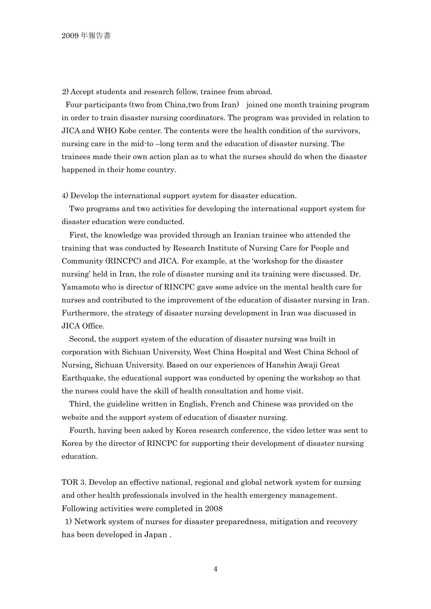2) Accept students and research fellow, trainee from abroad.

Four participants (two from China,two from Iran) joined one month training program in order to train disaster nursing coordinators. The program was provided in relation to JICA and WHO Kobe center. The contents were the health condition of the survivors, nursing care in the mid-to –long term and the education of disaster nursing. The trainees made their own action plan as to what the nurses should do when the disaster happened in their home country.

4) Develop the international support system for disaster education.

Two programs and two activities for developing the international support system for disaster education were conducted.

First, the knowledge was provided through an Iranian trainee who attended the training that was conducted by Research Institute of Nursing Care for People and Community (RINCPC) and JICA. For example, at the 'workshop for the disaster nursing' held in Iran, the role of disaster nursing and its training were discussed. Dr. Yamamoto who is director of RINCPC gave some advice on the mental health care for nurses and contributed to the improvement of the education of disaster nursing in Iran. Furthermore, the strategy of disaster nursing development in Iran was discussed in JICA Office.

Second, the support system of the education of disaster nursing was built in corporation with Sichuan University, West China Hospital and West China School of Nursing, Sichuan University. Based on our experiences of Hanshin Awaji Great Earthquake, the educational support was conducted by opening the workshop so that the nurses could have the skill of health consultation and home visit.

Third, the guideline written in English, French and Chinese was provided on the website and the support system of education of disaster nursing.

Fourth, having been asked by Korea research conference, the video letter was sent to Korea by the director of RINCPC for supporting their development of disaster nursing education.

TOR 3. Develop an effective national, regional and global network system for nursing and other health professionals involved in the health emergency management. Following activities were completed in 2008

1) Network system of nurses for disaster preparedness, mitigation and recovery has been developed in Japan .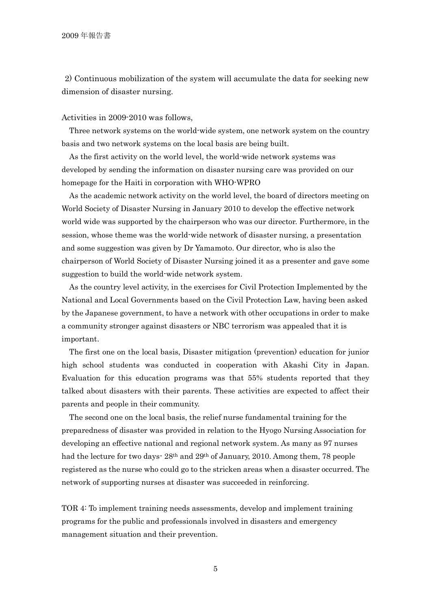2) Continuous mobilization of the system will accumulate the data for seeking new dimension of disaster nursing.

## Activities in 2009-2010 was follows,

Three network systems on the world-wide system, one network system on the country basis and two network systems on the local basis are being built.

As the first activity on the world level, the world-wide network systems was developed by sending the information on disaster nursing care was provided on our homepage for the Haiti in corporation with WHO-WPRO

As the academic network activity on the world level, the board of directors meeting on World Society of Disaster Nursing in January 2010 to develop the effective network world wide was supported by the chairperson who was our director. Furthermore, in the session, whose theme was the world-wide network of disaster nursing, a presentation and some suggestion was given by Dr Yamamoto. Our director, who is also the chairperson of World Society of Disaster Nursing joined it as a presenter and gave some suggestion to build the world-wide network system.

As the country level activity, in the exercises for Civil Protection Implemented by the National and Local Governments based on the Civil Protection Law, having been asked by the Japanese government, to have a network with other occupations in order to make a community stronger against disasters or NBC terrorism was appealed that it is important.

The first one on the local basis, Disaster mitigation (prevention) education for junior high school students was conducted in cooperation with Akashi City in Japan. Evaluation for this education programs was that 55% students reported that they talked about disasters with their parents. These activities are expected to affect their parents and people in their community.

The second one on the local basis, the relief nurse fundamental training for the preparedness of disaster was provided in relation to the Hyogo Nursing Association for developing an effective national and regional network system. As many as 97 nurses had the lecture for two days- 28th and 29th of January, 2010. Among them, 78 people registered as the nurse who could go to the stricken areas when a disaster occurred. The network of supporting nurses at disaster was succeeded in reinforcing.

TOR 4: To implement training needs assessments, develop and implement training programs for the public and professionals involved in disasters and emergency management situation and their prevention.

5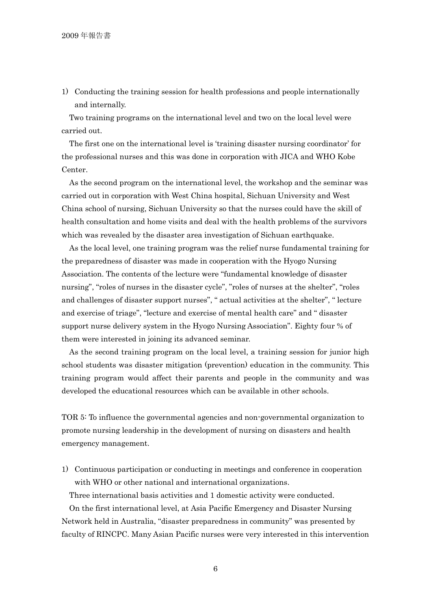1) Conducting the training session for health professions and people internationally and internally.

Two training programs on the international level and two on the local level were carried out.

The first one on the international level is 'training disaster nursing coordinator' for the professional nurses and this was done in corporation with JICA and WHO Kobe Center.

As the second program on the international level, the workshop and the seminar was carried out in corporation with West China hospital, Sichuan University and West China school of nursing, Sichuan University so that the nurses could have the skill of health consultation and home visits and deal with the health problems of the survivors which was revealed by the disaster area investigation of Sichuan earthquake.

As the local level, one training program was the relief nurse fundamental training for the preparedness of disaster was made in cooperation with the Hyogo Nursing Association. The contents of the lecture were "fundamental knowledge of disaster nursing", "roles of nurses in the disaster cycle", "roles of nurses at the shelter", "roles and challenges of disaster support nurses", " actual activities at the shelter", " lecture and exercise of triage", "lecture and exercise of mental health care" and " disaster support nurse delivery system in the Hyogo Nursing Association". Eighty four % of them were interested in joining its advanced seminar.

As the second training program on the local level, a training session for junior high school students was disaster mitigation (prevention) education in the community. This training program would affect their parents and people in the community and was developed the educational resources which can be available in other schools.

TOR 5: To influence the governmental agencies and non-governmental organization to promote nursing leadership in the development of nursing on disasters and health emergency management.

1) Continuous participation or conducting in meetings and conference in cooperation with WHO or other national and international organizations.

Three international basis activities and 1 domestic activity were conducted.

On the first international level, at Asia Pacific Emergency and Disaster Nursing Network held in Australia, "disaster preparedness in community" was presented by faculty of RINCPC. Many Asian Pacific nurses were very interested in this intervention